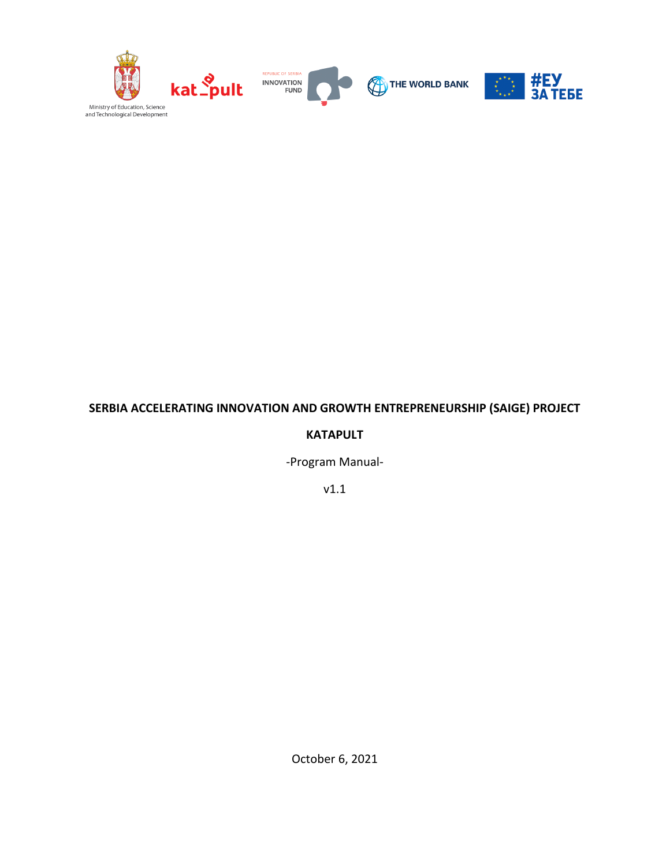

# **SERBIA ACCELERATING INNOVATION AND GROWTH ENTREPRENEURSHIP (SAIGE) PROJECT**

### **KATAPULT**

-Program Manual-

v1.1

October 6, 2021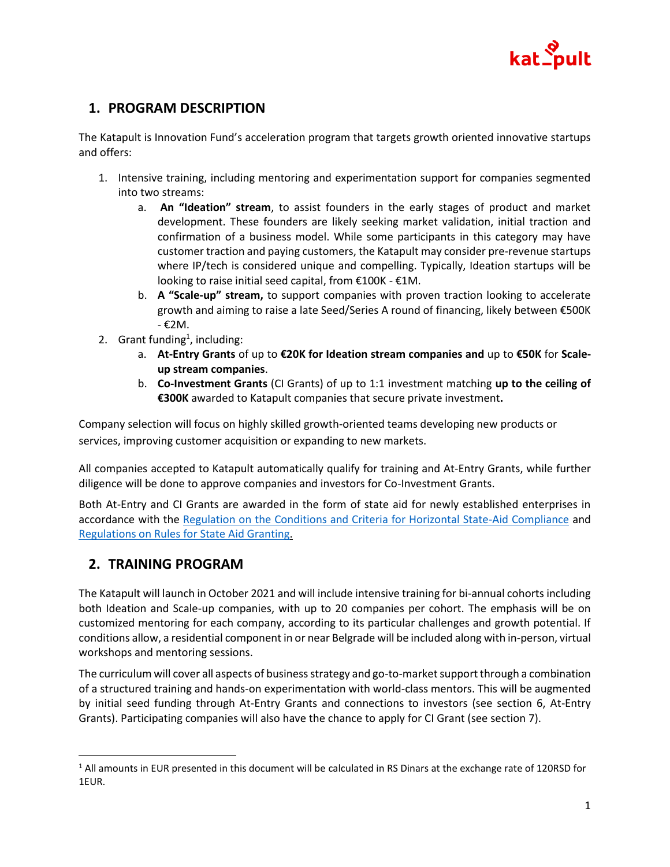

# **1. PROGRAM DESCRIPTION**

The Katapult is Innovation Fund's acceleration program that targets growth oriented innovative startups and offers:

- 1. Intensive training, including mentoring and experimentation support for companies segmented into two streams:
	- a. **An "Ideation" stream**, to assist founders in the early stages of product and market development. These founders are likely seeking market validation, initial traction and confirmation of a business model. While some participants in this category may have customer traction and paying customers, the Katapult may consider pre-revenue startups where IP/tech is considered unique and compelling. Typically, Ideation startups will be looking to raise initial seed capital, from €100K - €1M.
	- b. **A "Scale-up" stream,** to support companies with proven traction looking to accelerate growth and aiming to raise a late Seed/Series A round of financing, likely between €500K - €2M.
- 2. Grant funding<sup>1</sup>, including:
	- a. **At-Entry Grants** of up to **€20K for Ideation stream companies and** up to **€50K** for **Scaleup stream companies**.
	- b. **Co-Investment Grants** (CI Grants) of up to 1:1 investment matching **up to the ceiling of €300K** awarded to Katapult companies that secure private investment**.**

Company selection will focus on highly skilled growth-oriented teams developing new products or services, improving customer acquisition or expanding to new markets.

All companies accepted to Katapult automatically qualify for training and At-Entry Grants, while further diligence will be done to approve companies and investors for Co-Investment Grants.

Both At-Entry and CI Grants are awarded in the form of state aid for newly established enterprises in accordance with the [Regulation on the Conditions and Criteria for Horizontal State-Aid Compliance](http://www.kkdp.gov.rs/doc/propisi/uredba_horizontalna_drzavna_pomoc.pdf) and [Regulations on Rules for State Aid Granting.](http://www.kkdp.gov.rs/doc/propisi/UREDBA%20drzavna%20pomoc.pdf)

# **2. TRAINING PROGRAM**

The Katapult will launch in October 2021 and will include intensive training for bi-annual cohorts including both Ideation and Scale-up companies, with up to 20 companies per cohort. The emphasis will be on customized mentoring for each company, according to its particular challenges and growth potential. If conditions allow, a residential component in or near Belgrade will be included along with in-person, virtual workshops and mentoring sessions.

The curriculum will cover all aspects of business strategy and go-to-market support through a combination of a structured training and hands-on experimentation with world-class mentors. This will be augmented by initial seed funding through At-Entry Grants and connections to investors (see section 6, At-Entry Grants). Participating companies will also have the chance to apply for CI Grant (see section 7).

 $1$  All amounts in EUR presented in this document will be calculated in RS Dinars at the exchange rate of 120RSD for 1EUR.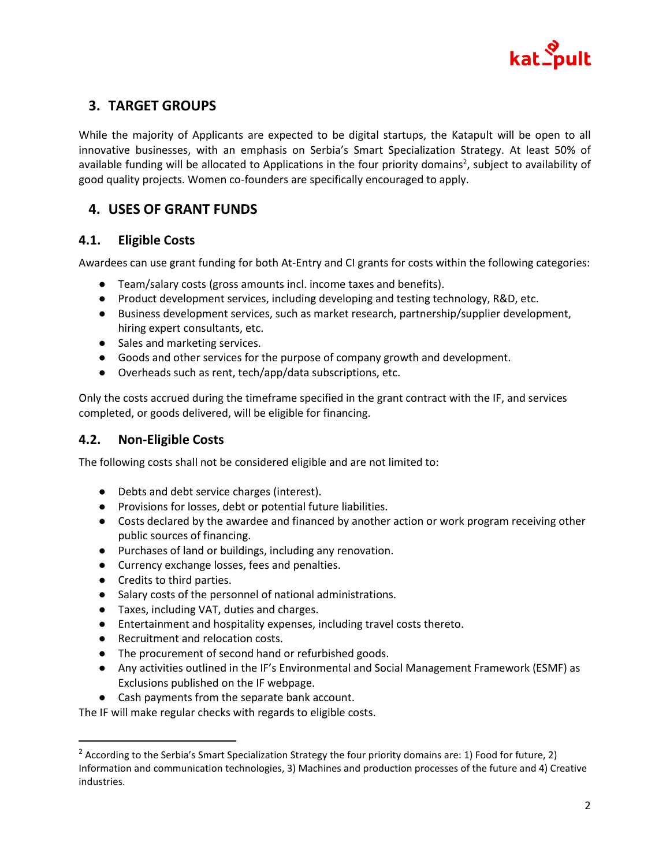

# **3. TARGET GROUPS**

While the majority of Applicants are expected to be digital startups, the Katapult will be open to all innovative businesses, with an emphasis on Serbia's Smart Specialization Strategy. At least 50% of available funding will be allocated to Applications in the four priority domains<sup>2</sup>, subject to availability of good quality projects. Women co-founders are specifically encouraged to apply.

# **4. USES OF GRANT FUNDS**

# **4.1. Eligible Costs**

Awardees can use grant funding for both At-Entry and CI grants for costs within the following categories:

- Team/salary costs (gross amounts incl. income taxes and benefits).
- Product development services, including developing and testing technology, R&D, etc.
- Business development services, such as market research, partnership/supplier development, hiring expert consultants, etc.
- Sales and marketing services.
- Goods and other services for the purpose of company growth and development.
- Overheads such as rent, tech/app/data subscriptions, etc.

Only the costs accrued during the timeframe specified in the grant contract with the IF, and services completed, or goods delivered, will be eligible for financing.

## **4.2. Non-Eligible Costs**

The following costs shall not be considered eligible and are not limited to:

- Debts and debt service charges (interest).
- Provisions for losses, debt or potential future liabilities.
- Costs declared by the awardee and financed by another action or work program receiving other public sources of financing.
- Purchases of land or buildings, including any renovation.
- Currency exchange losses, fees and penalties.
- Credits to third parties.
- Salary costs of the personnel of national administrations.
- Taxes, including VAT, duties and charges.
- Entertainment and hospitality expenses, including travel costs thereto.
- Recruitment and relocation costs.
- The procurement of second hand or refurbished goods.
- Any activities outlined in the IF's Environmental and Social Management Framework (ESMF) as Exclusions published on the IF webpage.
- Cash payments from the separate bank account.

The IF will make regular checks with regards to eligible costs.

 $2$  According to the Serbia's Smart Specialization Strategy the four priority domains are: 1) Food for future, 2) Information and communication technologies, 3) Machines and production processes of the future and 4) Creative industries.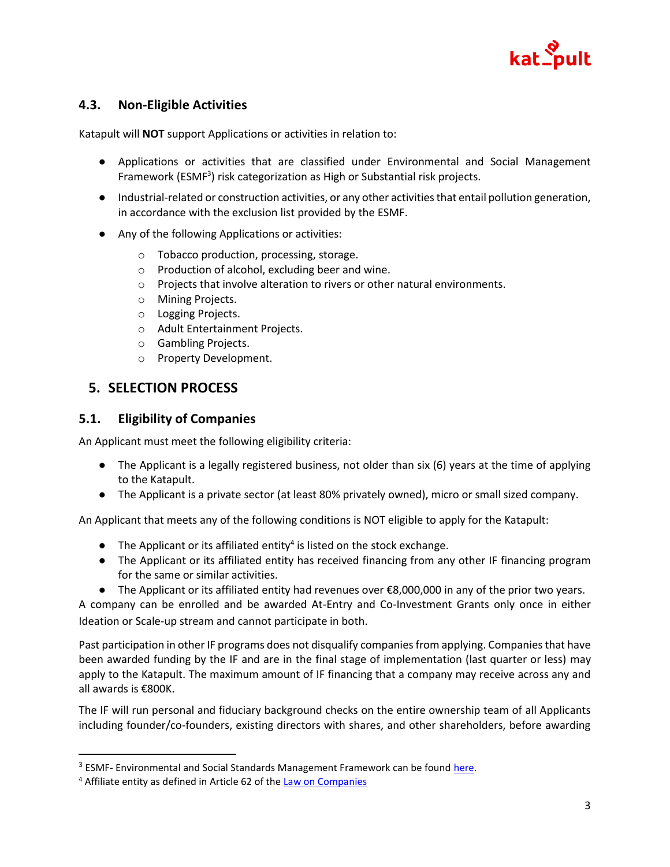

# **4.3. Non-Eligible Activities**

Katapult will **NOT** support Applications or activities in relation to:

- Applications or activities that are classified under Environmental and Social Management Framework (ESMF<sup>3</sup>) risk categorization as High or Substantial risk projects.
- Industrial-related or construction activities, or any other activities that entail pollution generation, in accordance with the exclusion list provided by the ESMF.
- Any of the following Applications or activities:
	- o Tobacco production, processing, storage.
	- o Production of alcohol, excluding beer and wine.
	- o Projects that involve alteration to rivers or other natural environments.
	- o Mining Projects.
	- o Logging Projects.
	- o Adult Entertainment Projects.
	- o Gambling Projects.
	- o Property Development.

## **5. SELECTION PROCESS**

### **5.1. Eligibility of Companies**

An Applicant must meet the following eligibility criteria:

- The Applicant is a legally registered business, not older than six (6) years at the time of applying to the Katapult.
- The Applicant is a private sector (at least 80% privately owned), micro or small sized company.

An Applicant that meets any of the following conditions is NOT eligible to apply for the Katapult:

- $\bullet$  The Applicant or its affiliated entity<sup>4</sup> is listed on the stock exchange.
- The Applicant or its affiliated entity has received financing from any other IF financing program for the same or similar activities.
- The Applicant or its affiliated entity had revenues over €8,000,000 in any of the prior two years.

A company can be enrolled and be awarded At-Entry and Co-Investment Grants only once in either Ideation or Scale-up stream and cannot participate in both.

Past participation in other IF programs does not disqualify companies from applying. Companies that have been awarded funding by the IF and are in the final stage of implementation (last quarter or less) may apply to the Katapult. The maximum amount of IF financing that a company may receive across any and all awards is €800K.

The IF will run personal and fiduciary background checks on the entire ownership team of all Applicants including founder/co-founders, existing directors with shares, and other shareholders, before awarding

<sup>&</sup>lt;sup>3</sup> ESMF- Environmental and Social Standards Management Framework can be foun[d here.](http://www.inovacionifond.rs/cms/files/o-nama/Esmf_Saige.pdf)

<sup>&</sup>lt;sup>4</sup> Affiliate entity as defined in Article 62 of the **Law on Companies**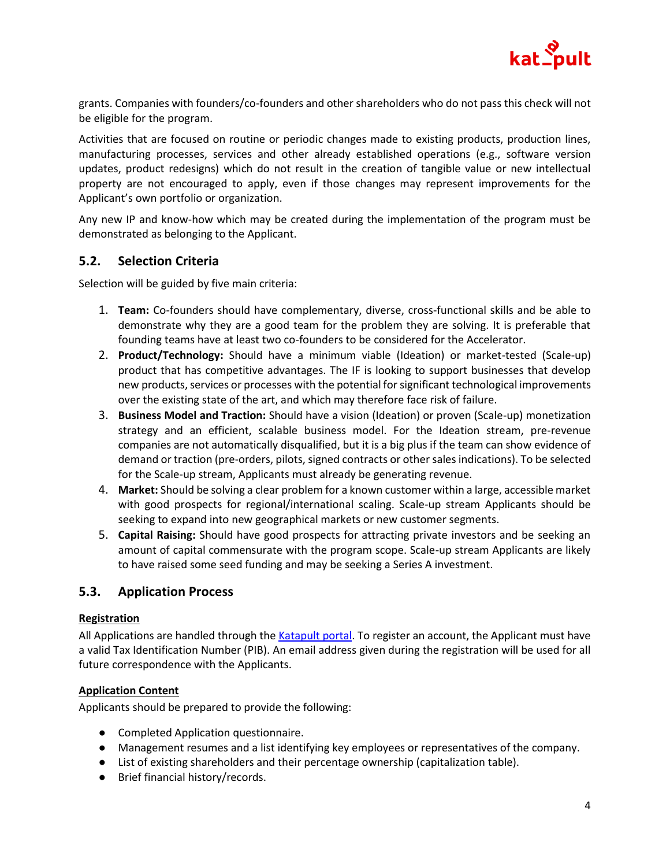

grants. Companies with founders/co-founders and other shareholders who do not pass this check will not be eligible for the program.

Activities that are focused on routine or periodic changes made to existing products, production lines, manufacturing processes, services and other already established operations (e.g., software version updates, product redesigns) which do not result in the creation of tangible value or new intellectual property are not encouraged to apply, even if those changes may represent improvements for the Applicant's own portfolio or organization.

Any new IP and know-how which may be created during the implementation of the program must be demonstrated as belonging to the Applicant.

### **5.2. Selection Criteria**

Selection will be guided by five main criteria:

- 1. **Team:** Co-founders should have complementary, diverse, cross-functional skills and be able to demonstrate why they are a good team for the problem they are solving. It is preferable that founding teams have at least two co-founders to be considered for the Accelerator.
- 2. **Product/Technology:** Should have a minimum viable (Ideation) or market-tested (Scale-up) product that has competitive advantages. The IF is looking to support businesses that develop new products, services or processes with the potential for significant technological improvements over the existing state of the art, and which may therefore face risk of failure.
- 3. **Business Model and Traction:** Should have a vision (Ideation) or proven (Scale-up) monetization strategy and an efficient, scalable business model. For the Ideation stream, pre-revenue companies are not automatically disqualified, but it is a big plus if the team can show evidence of demand or traction (pre-orders, pilots, signed contracts or other sales indications). To be selected for the Scale-up stream, Applicants must already be generating revenue.
- 4. **Market:** Should be solving a clear problem for a known customer within a large, accessible market with good prospects for regional/international scaling. Scale-up stream Applicants should be seeking to expand into new geographical markets or new customer segments.
- 5. **Capital Raising:** Should have good prospects for attracting private investors and be seeking an amount of capital commensurate with the program scope. Scale-up stream Applicants are likely to have raised some seed funding and may be seeking a Series A investment.

### **5.3. Application Process**

#### **Registration**

All Applications are handled through the [Katapult portal.](https://katapult.acceleratorapp.co/application/new?program=katapult%20accelerator%201st%20cohort) To register an account, the Applicant must have a valid Tax Identification Number (PIB). An email address given during the registration will be used for all future correspondence with the Applicants.

#### **Application Content**

Applicants should be prepared to provide the following:

- Completed Application questionnaire.
- Management resumes and a list identifying key employees or representatives of the company.
- List of existing shareholders and their percentage ownership (capitalization table).
- Brief financial history/records.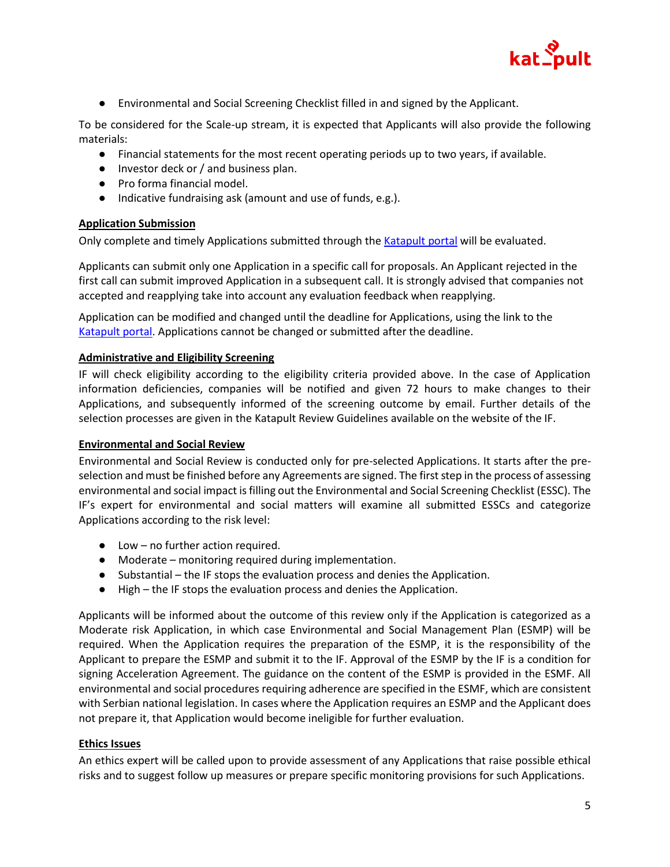

● Environmental and Social Screening Checklist filled in and signed by the Applicant.

To be considered for the Scale-up stream, it is expected that Applicants will also provide the following materials:

- Financial statements for the most recent operating periods up to two years, if available.
- Investor deck or / and business plan.
- Pro forma financial model.
- Indicative fundraising ask (amount and use of funds, e.g.).

### **Application Submission**

Only complete and timely Applications submitted through the [Katapult portal](https://katapult.acceleratorapp.co/application/new?program=katapult%20accelerator%201st%20cohort) will be evaluated.

Applicants can submit only one Application in a specific call for proposals. An Applicant rejected in the first call can submit improved Application in a subsequent call. It is strongly advised that companies not accepted and reapplying take into account any evaluation feedback when reapplying.

Application can be modified and changed until the deadline for Applications, using the link to the [Katapult portal.](https://katapult.acceleratorapp.co/application/new?program=katapult%20accelerator%201st%20cohort) Applications cannot be changed or submitted after the deadline.

#### **Administrative and Eligibility Screening**

IF will check eligibility according to the eligibility criteria provided above. In the case of Application information deficiencies, companies will be notified and given 72 hours to make changes to their Applications, and subsequently informed of the screening outcome by email. Further details of the selection processes are given in the Katapult Review Guidelines available on the website of the IF.

#### **Environmental and Social Review**

Environmental and Social Review is conducted only for pre-selected Applications. It starts after the preselection and must be finished before any Agreements are signed. The first step in the process of assessing environmental and social impact is filling out the Environmental and Social Screening Checklist (ESSC). The IF's expert for environmental and social matters will examine all submitted ESSCs and categorize Applications according to the risk level:

- Low no further action required.
- Moderate monitoring required during implementation.
- Substantial the IF stops the evaluation process and denies the Application.
- High the IF stops the evaluation process and denies the Application.

Applicants will be informed about the outcome of this review only if the Application is categorized as a Moderate risk Application, in which case Environmental and Social Management Plan (ESMP) will be required. When the Application requires the preparation of the ESMP, it is the responsibility of the Applicant to prepare the ESMP and submit it to the IF. Approval of the ESMP by the IF is a condition for signing Acceleration Agreement. The guidance on the content of the ESMP is provided in the ESMF. All environmental and social procedures requiring adherence are specified in the ESMF, which are consistent with Serbian national legislation. In cases where the Application requires an ESMP and the Applicant does not prepare it, that Application would become ineligible for further evaluation.

### **Ethics Issues**

An ethics expert will be called upon to provide assessment of any Applications that raise possible ethical risks and to suggest follow up measures or prepare specific monitoring provisions for such Applications.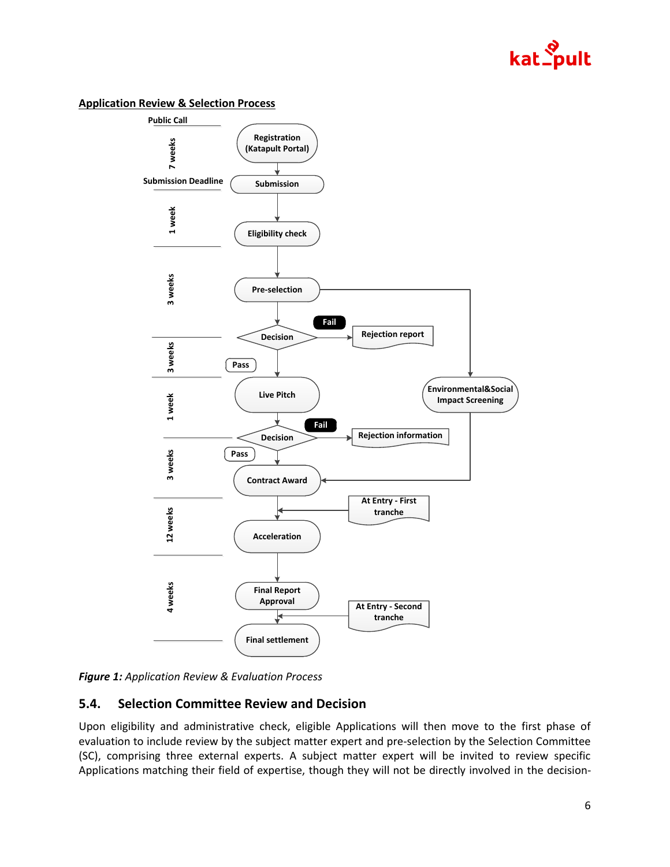

#### **Application Review & Selection Process**



*Figure 1: Application Review & Evaluation Process* 

## **5.4. Selection Committee Review and Decision**

Upon eligibility and administrative check, eligible Applications will then move to the first phase of evaluation to include review by the subject matter expert and pre-selection by the Selection Committee (SC), comprising three external experts. A subject matter expert will be invited to review specific Applications matching their field of expertise, though they will not be directly involved in the decision-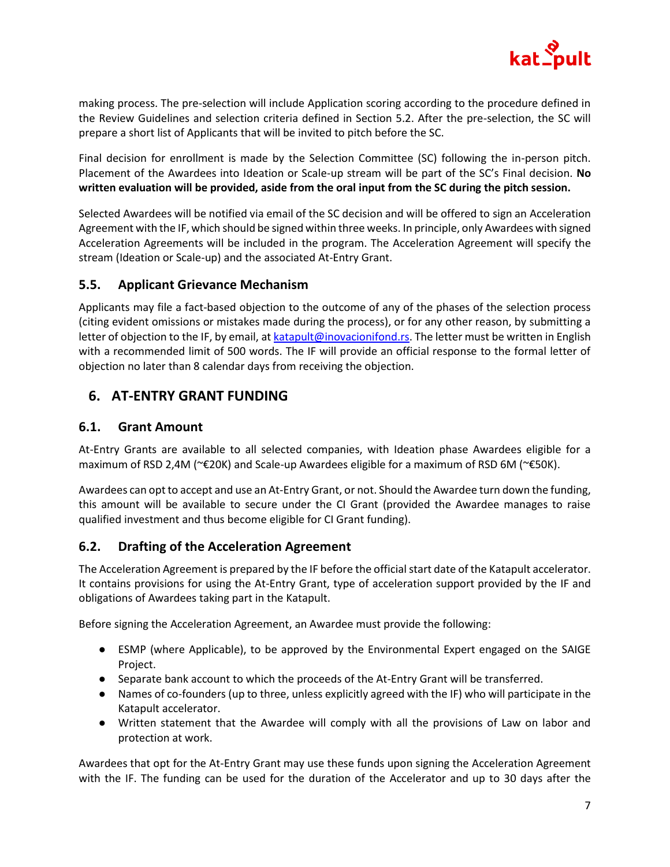

making process. The pre-selection will include Application scoring according to the procedure defined in the Review Guidelines and selection criteria defined in Section 5.2. After the pre-selection, the SC will prepare a short list of Applicants that will be invited to pitch before the SC.

Final decision for enrollment is made by the Selection Committee (SC) following the in-person pitch. Placement of the Awardees into Ideation or Scale-up stream will be part of the SC's Final decision. **No written evaluation will be provided, aside from the oral input from the SC during the pitch session.** 

Selected Awardees will be notified via email of the SC decision and will be offered to sign an Acceleration Agreement with the IF, which should be signed within three weeks. In principle, only Awardees with signed Acceleration Agreements will be included in the program. The Acceleration Agreement will specify the stream (Ideation or Scale-up) and the associated At-Entry Grant.

### **5.5. Applicant Grievance Mechanism**

Applicants may file a fact-based objection to the outcome of any of the phases of the selection process (citing evident omissions or mistakes made during the process), or for any other reason, by submitting a letter of objection to the IF, by email, at [katapult@inovacionifond.rs.](mailto:katapult@inovacionifond.rs) The letter must be written in English with a recommended limit of 500 words. The IF will provide an official response to the formal letter of objection no later than 8 calendar days from receiving the objection.

# **6. AT-ENTRY GRANT FUNDING**

### **6.1. Grant Amount**

At-Entry Grants are available to all selected companies, with Ideation phase Awardees eligible for a maximum of RSD 2,4M (~€20K) and Scale-up Awardees eligible for a maximum of RSD 6M (~€50K).

Awardees can opt to accept and use an At-Entry Grant, or not. Should the Awardee turn down the funding, this amount will be available to secure under the CI Grant (provided the Awardee manages to raise qualified investment and thus become eligible for CI Grant funding).

### **6.2. Drafting of the Acceleration Agreement**

The Acceleration Agreement is prepared by the IF before the official start date of the Katapult accelerator. It contains provisions for using the At-Entry Grant, type of acceleration support provided by the IF and obligations of Awardees taking part in the Katapult.

Before signing the Acceleration Agreement, an Awardee must provide the following:

- ESMP (where Applicable), to be approved by the Environmental Expert engaged on the SAIGE Project.
- Separate bank account to which the proceeds of the At-Entry Grant will be transferred.
- Names of co-founders (up to three, unless explicitly agreed with the IF) who will participate in the Katapult accelerator.
- Written statement that the Awardee will comply with all the provisions of Law on labor and protection at work.

Awardees that opt for the At-Entry Grant may use these funds upon signing the Acceleration Agreement with the IF. The funding can be used for the duration of the Accelerator and up to 30 days after the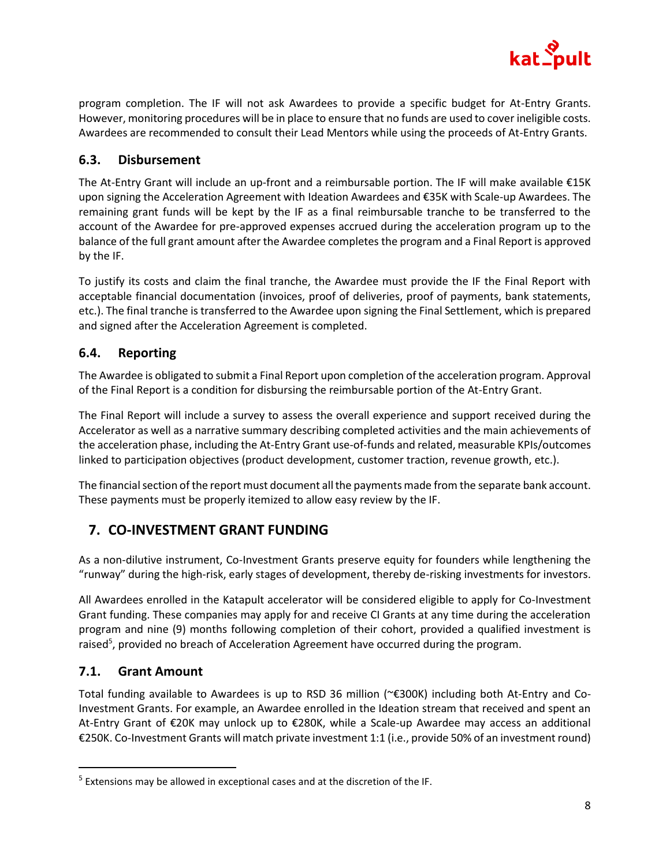

program completion. The IF will not ask Awardees to provide a specific budget for At-Entry Grants. However, monitoring procedures will be in place to ensure that no funds are used to cover ineligible costs. Awardees are recommended to consult their Lead Mentors while using the proceeds of At-Entry Grants.

## **6.3. Disbursement**

The At-Entry Grant will include an up-front and a reimbursable portion. The IF will make available €15K upon signing the Acceleration Agreement with Ideation Awardees and €35K with Scale-up Awardees. The remaining grant funds will be kept by the IF as a final reimbursable tranche to be transferred to the account of the Awardee for pre-approved expenses accrued during the acceleration program up to the balance of the full grant amount after the Awardee completes the program and a Final Report is approved by the IF.

To justify its costs and claim the final tranche, the Awardee must provide the IF the Final Report with acceptable financial documentation (invoices, proof of deliveries, proof of payments, bank statements, etc.). The final tranche is transferred to the Awardee upon signing the Final Settlement, which is prepared and signed after the Acceleration Agreement is completed.

## **6.4. Reporting**

The Awardee is obligated to submit a Final Report upon completion of the acceleration program. Approval of the Final Report is a condition for disbursing the reimbursable portion of the At-Entry Grant.

The Final Report will include a survey to assess the overall experience and support received during the Accelerator as well as a narrative summary describing completed activities and the main achievements of the acceleration phase, including the At-Entry Grant use-of-funds and related, measurable KPIs/outcomes linked to participation objectives (product development, customer traction, revenue growth, etc.).

The financial section of the report must document all the payments made from the separate bank account. These payments must be properly itemized to allow easy review by the IF.

# **7. CO-INVESTMENT GRANT FUNDING**

As a non-dilutive instrument, Co-Investment Grants preserve equity for founders while lengthening the "runway" during the high-risk, early stages of development, thereby de-risking investments for investors.

All Awardees enrolled in the Katapult accelerator will be considered eligible to apply for Co-Investment Grant funding. These companies may apply for and receive CI Grants at any time during the acceleration program and nine (9) months following completion of their cohort, provided a qualified investment is raised<sup>5</sup>, provided no breach of Acceleration Agreement have occurred during the program.

## **7.1. Grant Amount**

Total funding available to Awardees is up to RSD 36 million (~€300K) including both At-Entry and Co-Investment Grants. For example, an Awardee enrolled in the Ideation stream that received and spent an At-Entry Grant of €20K may unlock up to €280K, while a Scale-up Awardee may access an additional €250K. Co-Investment Grants will match private investment 1:1 (i.e., provide 50% of an investment round)

<sup>&</sup>lt;sup>5</sup> Extensions may be allowed in exceptional cases and at the discretion of the IF.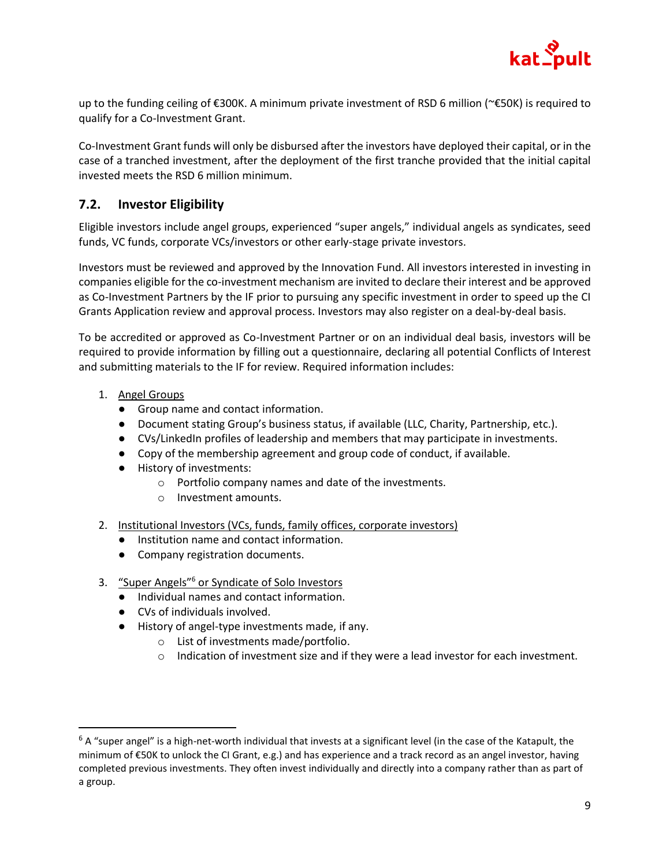

up to the funding ceiling of €300K. A minimum private investment of RSD 6 million (~€50K) is required to qualify for a Co-Investment Grant.

Co-Investment Grant funds will only be disbursed after the investors have deployed their capital, or in the case of a tranched investment, after the deployment of the first tranche provided that the initial capital invested meets the RSD 6 million minimum.

# **7.2. Investor Eligibility**

Eligible investors include angel groups, experienced "super angels," individual angels as syndicates, seed funds, VC funds, corporate VCs/investors or other early-stage private investors.

Investors must be reviewed and approved by the Innovation Fund. All investors interested in investing in companies eligible for the co-investment mechanism are invited to declare their interest and be approved as Co-Investment Partners by the IF prior to pursuing any specific investment in order to speed up the CI Grants Application review and approval process. Investors may also register on a deal-by-deal basis.

To be accredited or approved as Co-Investment Partner or on an individual deal basis, investors will be required to provide information by filling out a questionnaire, declaring all potential Conflicts of Interest and submitting materials to the IF for review. Required information includes:

- 1. Angel Groups
	- Group name and contact information.
	- Document stating Group's business status, if available (LLC, Charity, Partnership, etc.).
	- CVs/LinkedIn profiles of leadership and members that may participate in investments.
	- Copy of the membership agreement and group code of conduct, if available.
	- History of investments:
		- o Portfolio company names and date of the investments.
		- o Investment amounts.
- 2. Institutional Investors (VCs, funds, family offices, corporate investors)
	- Institution name and contact information.
	- Company registration documents.
- 3. "Super Angels"<sup>6</sup> or Syndicate of Solo Investors
	- Individual names and contact information.
	- CVs of individuals involved.
	- History of angel-type investments made, if any.
		- o List of investments made/portfolio.
		- $\circ$  Indication of investment size and if they were a lead investor for each investment.

 $6$  A "super angel" is a high-net-worth individual that invests at a significant level (in the case of the Katapult, the minimum of €50K to unlock the CI Grant, e.g.) and has experience and a track record as an angel investor, having completed previous investments. They often invest individually and directly into a company rather than as part of a group.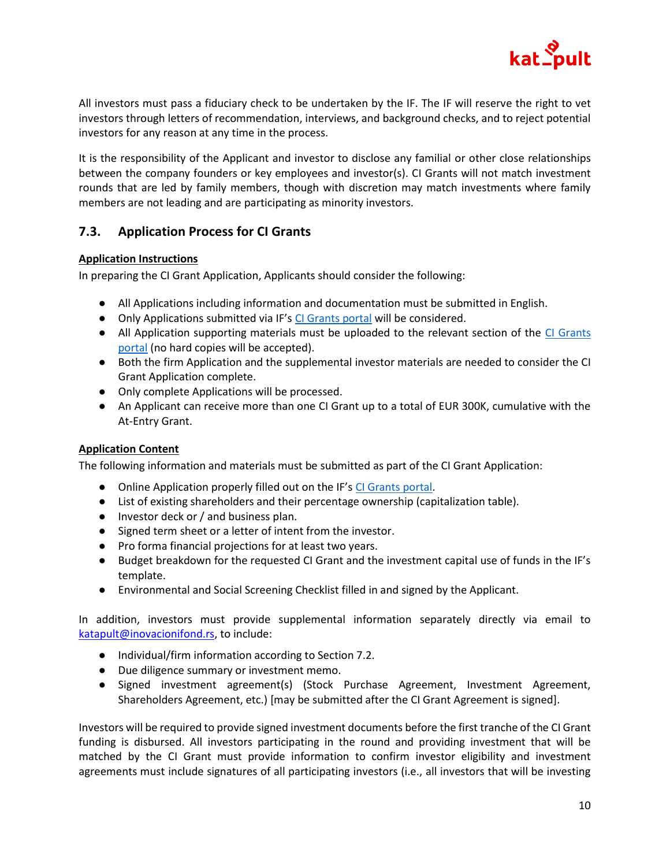

All investors must pass a fiduciary check to be undertaken by the IF. The IF will reserve the right to vet investors through letters of recommendation, interviews, and background checks, and to reject potential investors for any reason at any time in the process.

It is the responsibility of the Applicant and investor to disclose any familial or other close relationships between the company founders or key employees and investor(s). CI Grants will not match investment rounds that are led by family members, though with discretion may match investments where family members are not leading and are participating as minority investors.

## **7.3. Application Process for CI Grants**

### **Application Instructions**

In preparing the CI Grant Application, Applicants should consider the following:

- All Applications including information and documentation must be submitted in English.
- Only Applications submitted via IF's [CI Grants portal](https://katapult.acceleratorapp.co/application/new?program=katapult%20co-investment%20grant%20funding) will be considered.
- All Application supporting materials must be uploaded to the relevant section of the [CI Grants](https://katapult.acceleratorapp.co/application/new?program=katapult%20co-investment%20grant%20funding)  [portal](https://katapult.acceleratorapp.co/application/new?program=katapult%20co-investment%20grant%20funding) (no hard copies will be accepted).
- Both the firm Application and the supplemental investor materials are needed to consider the CI Grant Application complete.
- Only complete Applications will be processed.
- An Applicant can receive more than one CI Grant up to a total of EUR 300K, cumulative with the At-Entry Grant.

### **Application Content**

The following information and materials must be submitted as part of the CI Grant Application:

- Online Application properly filled out on the IF's [CI Grants portal.](https://katapult.acceleratorapp.co/application/new?program=katapult%20co-investment%20grant%20funding)
- List of existing shareholders and their percentage ownership (capitalization table).
- Investor deck or / and business plan.
- Signed term sheet or a letter of intent from the investor.
- Pro forma financial projections for at least two years.
- Budget breakdown for the requested CI Grant and the investment capital use of funds in the IF's template.
- Environmental and Social Screening Checklist filled in and signed by the Applicant.

In addition, investors must provide supplemental information separately directly via email to [katapult@inovacionifond.rs,](mailto:katapult@inovacionifond.rs) to include:

- Individual/firm information according to Section 7.2.
- Due diligence summary or investment memo.
- Signed investment agreement(s) (Stock Purchase Agreement, Investment Agreement, Shareholders Agreement, etc.) [may be submitted after the CI Grant Agreement is signed].

Investors will be required to provide signed investment documents before the first tranche of the CI Grant funding is disbursed. All investors participating in the round and providing investment that will be matched by the CI Grant must provide information to confirm investor eligibility and investment agreements must include signatures of all participating investors (i.e., all investors that will be investing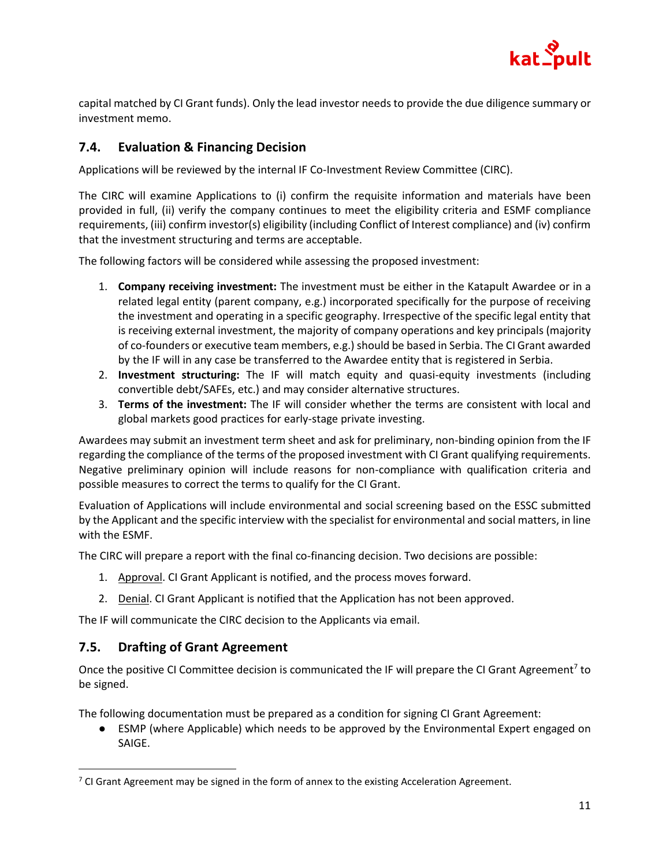

capital matched by CI Grant funds). Only the lead investor needs to provide the due diligence summary or investment memo.

# **7.4. Evaluation & Financing Decision**

Applications will be reviewed by the internal IF Co-Investment Review Committee (CIRC).

The CIRC will examine Applications to (i) confirm the requisite information and materials have been provided in full, (ii) verify the company continues to meet the eligibility criteria and ESMF compliance requirements, (iii) confirm investor(s) eligibility (including Conflict of Interest compliance) and (iv) confirm that the investment structuring and terms are acceptable.

The following factors will be considered while assessing the proposed investment:

- 1. **Company receiving investment:** The investment must be either in the Katapult Awardee or in a related legal entity (parent company, e.g.) incorporated specifically for the purpose of receiving the investment and operating in a specific geography. Irrespective of the specific legal entity that is receiving external investment, the majority of company operations and key principals (majority of co-founders or executive team members, e.g.) should be based in Serbia. The CI Grant awarded by the IF will in any case be transferred to the Awardee entity that is registered in Serbia.
- 2. **Investment structuring:** The IF will match equity and quasi-equity investments (including convertible debt/SAFEs, etc.) and may consider alternative structures.
- 3. **Terms of the investment:** The IF will consider whether the terms are consistent with local and global markets good practices for early-stage private investing.

Awardees may submit an investment term sheet and ask for preliminary, non-binding opinion from the IF regarding the compliance of the terms of the proposed investment with CI Grant qualifying requirements. Negative preliminary opinion will include reasons for non-compliance with qualification criteria and possible measures to correct the terms to qualify for the CI Grant.

Evaluation of Applications will include environmental and social screening based on the ESSC submitted by the Applicant and the specific interview with the specialist for environmental and social matters, in line with the ESMF.

The CIRC will prepare a report with the final co-financing decision. Two decisions are possible:

- 1. Approval. CI Grant Applicant is notified, and the process moves forward.
- 2. Denial. CI Grant Applicant is notified that the Application has not been approved.

The IF will communicate the CIRC decision to the Applicants via email.

### **7.5. Drafting of Grant Agreement**

Once the positive CI Committee decision is communicated the IF will prepare the CI Grant Agreement<sup>7</sup> to be signed.

The following documentation must be prepared as a condition for signing CI Grant Agreement:

● ESMP (where Applicable) which needs to be approved by the Environmental Expert engaged on SAIGE.

 $7$  CI Grant Agreement may be signed in the form of annex to the existing Acceleration Agreement.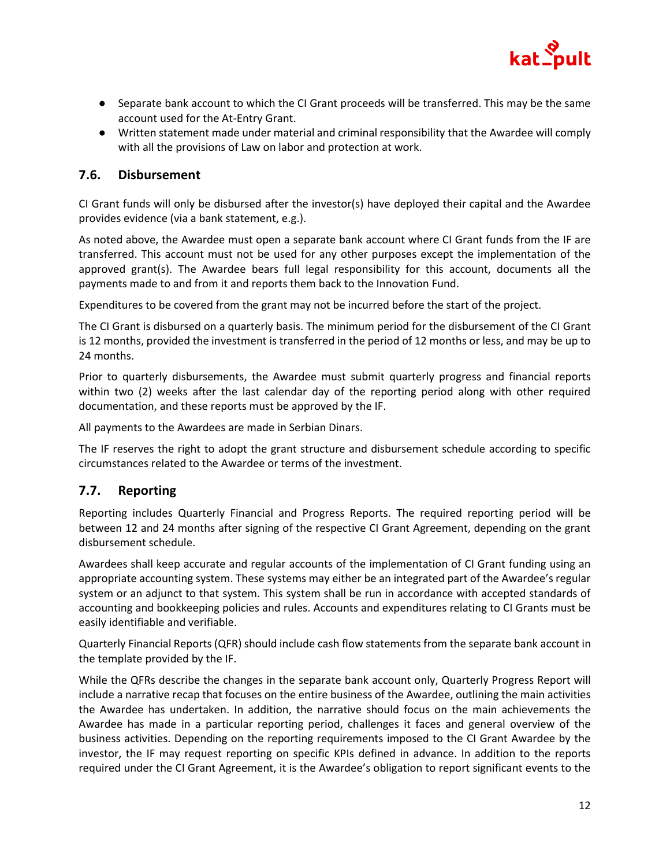

- Separate bank account to which the CI Grant proceeds will be transferred. This may be the same account used for the At-Entry Grant.
- Written statement made under material and criminal responsibility that the Awardee will comply with all the provisions of Law on labor and protection at work.

### **7.6. Disbursement**

CI Grant funds will only be disbursed after the investor(s) have deployed their capital and the Awardee provides evidence (via a bank statement, e.g.).

As noted above, the Awardee must open a separate bank account where CI Grant funds from the IF are transferred. This account must not be used for any other purposes except the implementation of the approved grant(s). The Awardee bears full legal responsibility for this account, documents all the payments made to and from it and reports them back to the Innovation Fund.

Expenditures to be covered from the grant may not be incurred before the start of the project.

The CI Grant is disbursed on a quarterly basis. The minimum period for the disbursement of the CI Grant is 12 months, provided the investment is transferred in the period of 12 months or less, and may be up to 24 months.

Prior to quarterly disbursements, the Awardee must submit quarterly progress and financial reports within two (2) weeks after the last calendar day of the reporting period along with other required documentation, and these reports must be approved by the IF.

All payments to the Awardees are made in Serbian Dinars.

The IF reserves the right to adopt the grant structure and disbursement schedule according to specific circumstances related to the Awardee or terms of the investment.

## **7.7. Reporting**

Reporting includes Quarterly Financial and Progress Reports. The required reporting period will be between 12 and 24 months after signing of the respective CI Grant Agreement, depending on the grant disbursement schedule.

Awardees shall keep accurate and regular accounts of the implementation of CI Grant funding using an appropriate accounting system. These systems may either be an integrated part of the Awardee's regular system or an adjunct to that system. This system shall be run in accordance with accepted standards of accounting and bookkeeping policies and rules. Accounts and expenditures relating to CI Grants must be easily identifiable and verifiable.

Quarterly Financial Reports (QFR) should include cash flow statements from the separate bank account in the template provided by the IF.

While the QFRs describe the changes in the separate bank account only, Quarterly Progress Report will include a narrative recap that focuses on the entire business of the Awardee, outlining the main activities the Awardee has undertaken. In addition, the narrative should focus on the main achievements the Awardee has made in a particular reporting period, challenges it faces and general overview of the business activities. Depending on the reporting requirements imposed to the CI Grant Awardee by the investor, the IF may request reporting on specific KPIs defined in advance. In addition to the reports required under the CI Grant Agreement, it is the Awardee's obligation to report significant events to the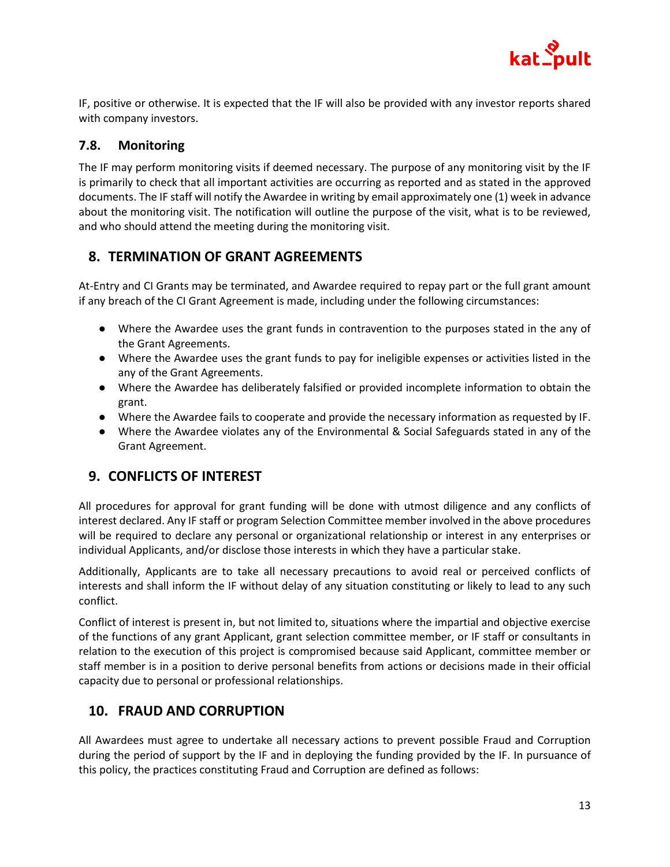

IF, positive or otherwise. It is expected that the IF will also be provided with any investor reports shared with company investors.

## **7.8. Monitoring**

The IF may perform monitoring visits if deemed necessary. The purpose of any monitoring visit by the IF is primarily to check that all important activities are occurring as reported and as stated in the approved documents. The IF staff will notify the Awardee in writing by email approximately one (1) week in advance about the monitoring visit. The notification will outline the purpose of the visit, what is to be reviewed, and who should attend the meeting during the monitoring visit.

# **8. TERMINATION OF GRANT AGREEMENTS**

At-Entry and CI Grants may be terminated, and Awardee required to repay part or the full grant amount if any breach of the CI Grant Agreement is made, including under the following circumstances:

- Where the Awardee uses the grant funds in contravention to the purposes stated in the any of the Grant Agreements.
- Where the Awardee uses the grant funds to pay for ineligible expenses or activities listed in the any of the Grant Agreements.
- Where the Awardee has deliberately falsified or provided incomplete information to obtain the grant.
- Where the Awardee fails to cooperate and provide the necessary information as requested by IF.
- Where the Awardee violates any of the Environmental & Social Safeguards stated in any of the Grant Agreement.

# **9. CONFLICTS OF INTEREST**

All procedures for approval for grant funding will be done with utmost diligence and any conflicts of interest declared. Any IF staff or program Selection Committee member involved in the above procedures will be required to declare any personal or organizational relationship or interest in any enterprises or individual Applicants, and/or disclose those interests in which they have a particular stake.

Additionally, Applicants are to take all necessary precautions to avoid real or perceived conflicts of interests and shall inform the IF without delay of any situation constituting or likely to lead to any such conflict.

Conflict of interest is present in, but not limited to, situations where the impartial and objective exercise of the functions of any grant Applicant, grant selection committee member, or IF staff or consultants in relation to the execution of this project is compromised because said Applicant, committee member or staff member is in a position to derive personal benefits from actions or decisions made in their official capacity due to personal or professional relationships.

# **10. FRAUD AND CORRUPTION**

All Awardees must agree to undertake all necessary actions to prevent possible Fraud and Corruption during the period of support by the IF and in deploying the funding provided by the IF. In pursuance of this policy, the practices constituting Fraud and Corruption are defined as follows: